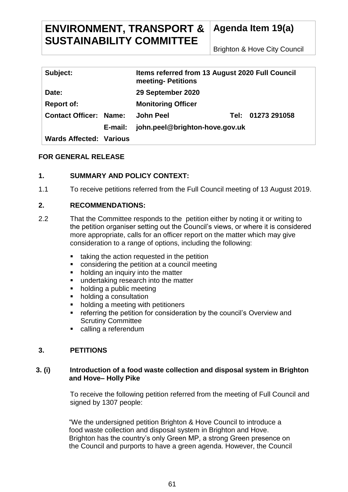# **ENVIRONMENT, TRANSPORT & SUSTAINABILITY COMMITTEE**

**Agenda Item 19(a)**

Brighton & Hove City Council

| Subject:                       |         | Items referred from 13 August 2020 Full Council<br>meeting- Petitions |  |                   |
|--------------------------------|---------|-----------------------------------------------------------------------|--|-------------------|
| Date:                          |         | 29 September 2020                                                     |  |                   |
| <b>Report of:</b>              |         | <b>Monitoring Officer</b>                                             |  |                   |
| <b>Contact Officer: Name:</b>  |         | <b>John Peel</b>                                                      |  | Tel: 01273 291058 |
|                                | E-mail: | john.peel@brighton-hove.gov.uk                                        |  |                   |
| <b>Wards Affected: Various</b> |         |                                                                       |  |                   |

## **FOR GENERAL RELEASE**

## **1. SUMMARY AND POLICY CONTEXT:**

1.1 To receive petitions referred from the Full Council meeting of 13 August 2019.

### **2. RECOMMENDATIONS:**

- 2.2 That the Committee responds to the petition either by noting it or writing to the petition organiser setting out the Council's views, or where it is considered more appropriate, calls for an officer report on the matter which may give consideration to a range of options, including the following:
	- taking the action requested in the petition
	- considering the petition at a council meeting
	- holding an inquiry into the matter
	- **undertaking research into the matter**
	- holding a public meeting
	- holding a consultation
	- holding a meeting with petitioners
	- **F** referring the petition for consideration by the council's Overview and Scrutiny Committee
	- calling a referendum

# **3. PETITIONS**

### **3. (i) Introduction of a food waste collection and disposal system in Brighton and Hove– Holly Pike**

To receive the following petition referred from the meeting of Full Council and signed by 1307 people:

"We the undersigned petition Brighton & Hove Council to introduce a food waste collection and disposal system in Brighton and Hove. Brighton has the country's only Green MP, a strong Green presence on the Council and purports to have a green agenda. However, the Council